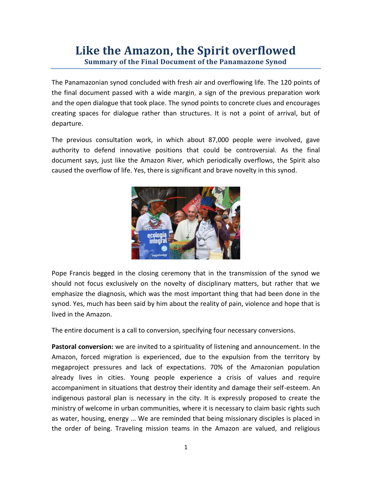## **Like the Amazon, the Spirit overflowed Summary of the Final Document of the Panamazone Synod**

The Panamazonian synod concluded with fresh air and overflowing life. The 120 points of the final document passed with a wide margin, a sign of the previous preparation work and the open dialogue that took place. The synod points to concrete clues and encourages creating spaces for dialogue rather than structures. It is not a point of arrival, but of departure.

The previous consultation work, in which about 87,000 people were involved, gave authority to defend innovative positions that could be controversial. As the final document says, just like the Amazon River, which periodically overflows, the Spirit also caused the overflow of life. Yes, there is significant and brave novelty in this synod.



Pope Francis begged in the closing ceremony that in the transmission of the synod we should not focus exclusively on the novelty of disciplinary matters, but rather that we emphasize the diagnosis, which was the most important thing that had been done in the synod. Yes, much has been said by him about the reality of pain, violence and hope that is lived in the Amazon.

The entire document is a call to conversion, specifying four necessary conversions.

**Pastoral conversion:** we are invited to a spirituality of listening and announcement. In the Amazon, forced migration is experienced, due to the expulsion from the territory by megaproject pressures and lack of expectations. 70% of the Amazonian population already lives in cities. Young people experience a crisis of values and require accompaniment in situations that destroy their identity and damage their self-esteem. An indigenous pastoral plan is necessary in the city. It is expressly proposed to create the ministry of welcome in urban communities, where it is necessary to claim basic rights such as water, housing, energy ... We are reminded that being missionary disciples is placed in the order of being. Traveling mission teams in the Amazon are valued, and religious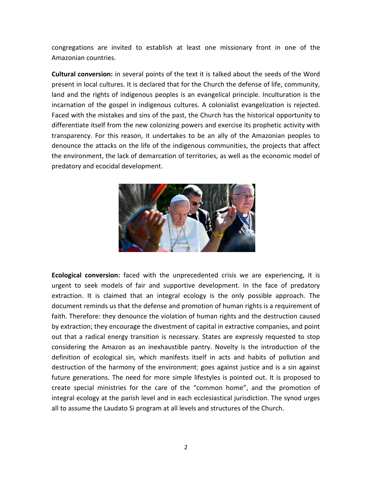congregations are invited to establish at least one missionary front in one of the Amazonian countries.

**Cultural conversion:** in several points of the text it is talked about the seeds of the Word present in local cultures. It is declared that for the Church the defense of life, community, land and the rights of indigenous peoples is an evangelical principle. Inculturation is the incarnation of the gospel in indigenous cultures. A colonialist evangelization is rejected. Faced with the mistakes and sins of the past, the Church has the historical opportunity to differentiate itself from the new colonizing powers and exercise its prophetic activity with transparency. For this reason, it undertakes to be an ally of the Amazonian peoples to denounce the attacks on the life of the indigenous communities, the projects that affect the environment, the lack of demarcation of territories, as well as the economic model of predatory and ecocidal development.



**Ecological conversion:** faced with the unprecedented crisis we are experiencing, it is urgent to seek models of fair and supportive development. In the face of predatory extraction. It is claimed that an integral ecology is the only possible approach. The document reminds us that the defense and promotion of human rights is a requirement of faith. Therefore: they denounce the violation of human rights and the destruction caused by extraction; they encourage the divestment of capital in extractive companies, and point out that a radical energy transition is necessary. States are expressly requested to stop considering the Amazon as an inexhaustible pantry. Novelty is the introduction of the definition of ecological sin, which manifests itself in acts and habits of pollution and destruction of the harmony of the environment; goes against justice and is a sin against future generations. The need for more simple lifestyles is pointed out. It is proposed to create special ministries for the care of the "common home", and the promotion of integral ecology at the parish level and in each ecclesiastical jurisdiction. The synod urges all to assume the Laudato Si program at all levels and structures of the Church.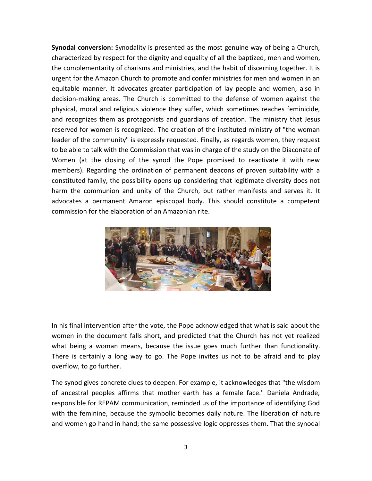**Synodal conversion:** Synodality is presented as the most genuine way of being a Church, characterized by respect for the dignity and equality of all the baptized, men and women, the complementarity of charisms and ministries, and the habit of discerning together. It is urgent for the Amazon Church to promote and confer ministries for men and women in an equitable manner. It advocates greater participation of lay people and women, also in decision-making areas. The Church is committed to the defense of women against the physical, moral and religious violence they suffer, which sometimes reaches feminicide, and recognizes them as protagonists and guardians of creation. The ministry that Jesus reserved for women is recognized. The creation of the instituted ministry of "the woman leader of the community" is expressly requested. Finally, as regards women, they request to be able to talk with the Commission that was in charge of the study on the Diaconate of Women (at the closing of the synod the Pope promised to reactivate it with new members). Regarding the ordination of permanent deacons of proven suitability with a constituted family, the possibility opens up considering that legitimate diversity does not harm the communion and unity of the Church, but rather manifests and serves it. It advocates a permanent Amazon episcopal body. This should constitute a competent commission for the elaboration of an Amazonian rite.



In his final intervention after the vote, the Pope acknowledged that what is said about the women in the document falls short, and predicted that the Church has not yet realized what being a woman means, because the issue goes much further than functionality. There is certainly a long way to go. The Pope invites us not to be afraid and to play overflow, to go further.

The synod gives concrete clues to deepen. For example, it acknowledges that "the wisdom of ancestral peoples affirms that mother earth has a female face." Daniela Andrade, responsible for REPAM communication, reminded us of the importance of identifying God with the feminine, because the symbolic becomes daily nature. The liberation of nature and women go hand in hand; the same possessive logic oppresses them. That the synodal